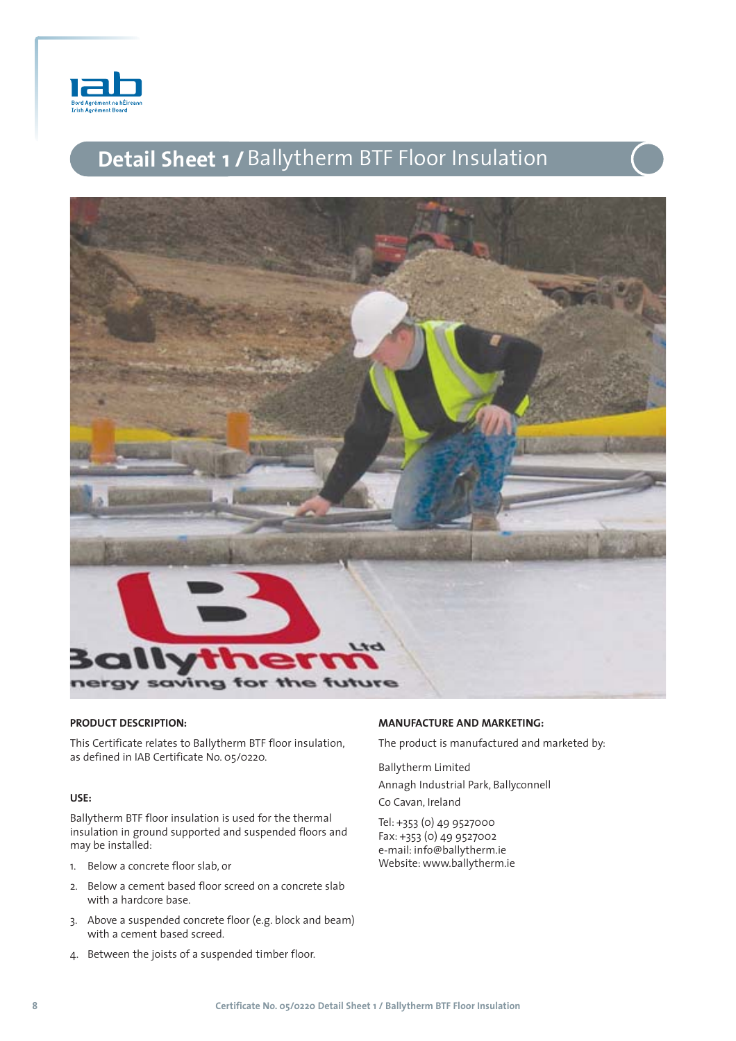

# **Detail Sheet 1 /**Ballytherm BTF Floor Insulation



# **PRODUCT DESCRIPTION:**

This Certificate relates to Ballytherm BTF floor insulation, as defined in IAB Certificate No. 05/0220.

#### **USE:**

Ballytherm BTF floor insulation is used for the thermal insulation in ground supported and suspended floors and may be installed:

- 1. Below a concrete floor slab, or
- 2. Below a cement based floor screed on a concrete slab with a hardcore base.
- 3. Above a suspended concrete floor (e.g. block and beam) with a cement based screed.
- 4. Between the joists of a suspended timber floor.

# **MANUFACTURE AND MARKETING:**

The product is manufactured and marketed by:

Ballytherm Limited

Annagh Industrial Park, Ballyconnell

Co Cavan, Ireland

Tel: +353 (0) 49 9527000 Fax: +353 (0) 49 9527002 e-mail: info@ballytherm.ie Website: www.ballytherm.ie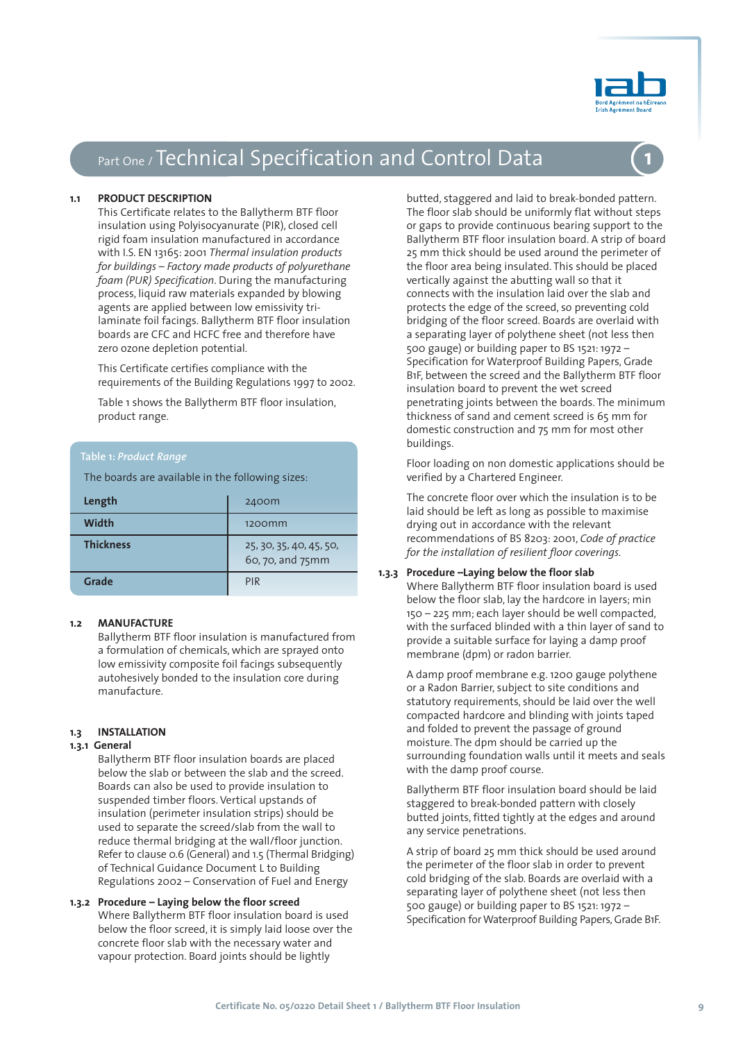

# Part One / Technical Specification and Control Data

#### **1.1 PRODUCT DESCRIPTION**

This Certificate relates to the Ballytherm BTF floor insulation using Polyisocyanurate (PIR), closed cell rigid foam insulation manufactured in accordance with I.S. EN 13165: 2001 *Thermal insulation products for buildings – Factory made products of polyurethane foam (PUR) Specification*. During the manufacturing process, liquid raw materials expanded by blowing agents are applied between low emissivity trilaminate foil facings. Ballytherm BTF floor insulation boards are CFC and HCFC free and therefore have zero ozone depletion potential.

This Certificate certifies compliance with the requirements of the Building Regulations 1997 to 2002.

Table 1 shows the Ballytherm BTF floor insulation, product range.

#### **Table 1:** *Product Range*

The boards are available in the following sizes:

| Length           | 2400m                                       |
|------------------|---------------------------------------------|
| Width            | 1200 <sub>mm</sub>                          |
| <b>Thickness</b> | 25, 30, 35, 40, 45, 50,<br>60, 70, and 75mm |
| Grade            | <b>PIR</b>                                  |

#### **1.2 MANUFACTURE**

Ballytherm BTF floor insulation is manufactured from a formulation of chemicals, which are sprayed onto low emissivity composite foil facings subsequently autohesively bonded to the insulation core during manufacture.

#### **1.3 INSTALLATION**

#### **1.3.1 General**

Ballytherm BTF floor insulation boards are placed below the slab or between the slab and the screed. Boards can also be used to provide insulation to suspended timber floors. Vertical upstands of insulation (perimeter insulation strips) should be used to separate the screed/slab from the wall to reduce thermal bridging at the wall/floor junction. Refer to clause 0.6 (General) and 1.5 (Thermal Bridging) of Technical Guidance Document L to Building Regulations 2002 – Conservation of Fuel and Energy

# **1.3.2 Procedure – Laying below the floor screed**

Where Ballytherm BTF floor insulation board is used below the floor screed, it is simply laid loose over the concrete floor slab with the necessary water and vapour protection. Board joints should be lightly

butted, staggered and laid to break-bonded pattern. The floor slab should be uniformly flat without steps or gaps to provide continuous bearing support to the Ballytherm BTF floor insulation board. A strip of board 25 mm thick should be used around the perimeter of the floor area being insulated. This should be placed vertically against the abutting wall so that it connects with the insulation laid over the slab and protects the edge of the screed, so preventing cold bridging of the floor screed. Boards are overlaid with a separating layer of polythene sheet (not less then 500 gauge) or building paper to BS 1521: 1972 – Specification for Waterproof Building Papers, Grade B1F, between the screed and the Ballytherm BTF floor insulation board to prevent the wet screed penetrating joints between the boards. The minimum thickness of sand and cement screed is 65 mm for domestic construction and 75 mm for most other buildings.

Floor loading on non domestic applications should be verified by a Chartered Engineer.

The concrete floor over which the insulation is to be laid should be left as long as possible to maximise drying out in accordance with the relevant recommendations of BS 8203: 2001, *Code of practice for the installation of resilient floor coverings.*

## **1.3.3 Procedure –Laying below the floor slab**

Where Ballytherm BTF floor insulation board is used below the floor slab, lay the hardcore in layers; min 150 – 225 mm; each layer should be well compacted, with the surfaced blinded with a thin layer of sand to provide a suitable surface for laying a damp proof membrane (dpm) or radon barrier.

A damp proof membrane e.g. 1200 gauge polythene or a Radon Barrier, subject to site conditions and statutory requirements, should be laid over the well compacted hardcore and blinding with joints taped and folded to prevent the passage of ground moisture. The dpm should be carried up the surrounding foundation walls until it meets and seals with the damp proof course.

Ballytherm BTF floor insulation board should be laid staggered to break-bonded pattern with closely butted joints, fitted tightly at the edges and around any service penetrations.

A strip of board 25 mm thick should be used around the perimeter of the floor slab in order to prevent cold bridging of the slab. Boards are overlaid with a separating layer of polythene sheet (not less then 500 gauge) or building paper to BS 1521: 1972 – Specification for Waterproof Building Papers, Grade B1F.



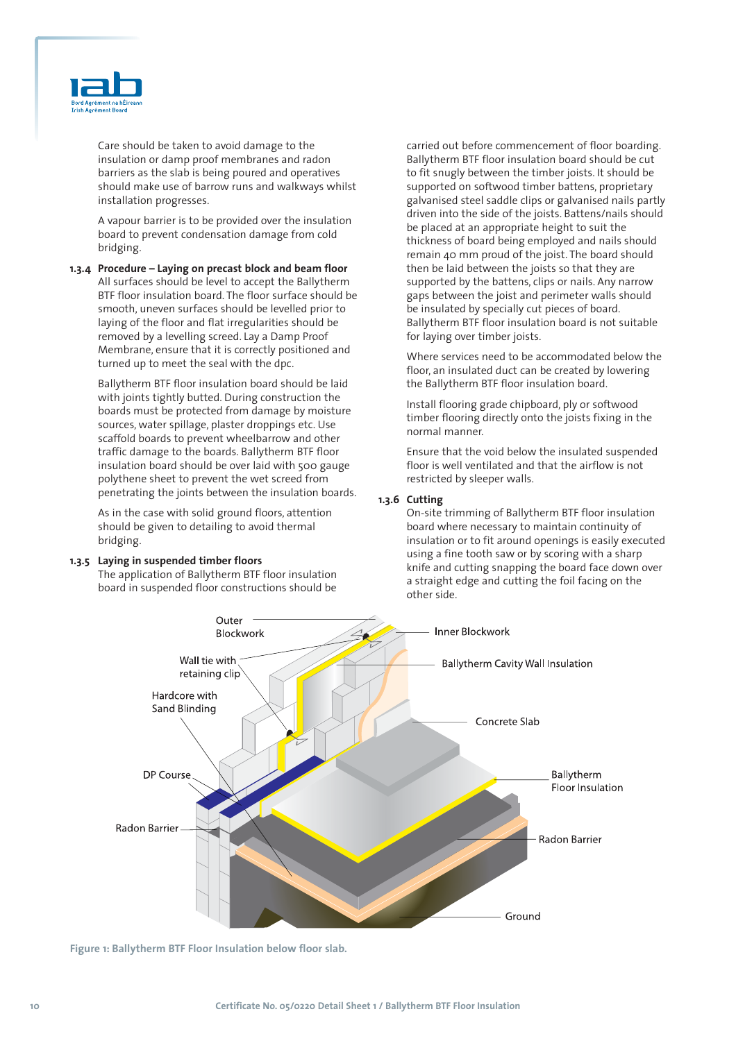

Care should be taken to avoid damage to the insulation or damp proof membranes and radon barriers as the slab is being poured and operatives should make use of barrow runs and walkways whilst installation progresses.

A vapour barrier is to be provided over the insulation board to prevent condensation damage from cold bridging.

**1.3.4 Procedure – Laying on precast block and beam floor** All surfaces should be level to accept the Ballytherm BTF floor insulation board. The floor surface should be smooth, uneven surfaces should be levelled prior to laying of the floor and flat irregularities should be removed by a levelling screed. Lay a Damp Proof Membrane, ensure that it is correctly positioned and turned up to meet the seal with the dpc.

Ballytherm BTF floor insulation board should be laid with joints tightly butted. During construction the boards must be protected from damage by moisture sources, water spillage, plaster droppings etc. Use scaffold boards to prevent wheelbarrow and other traffic damage to the boards. Ballytherm BTF floor insulation board should be over laid with 500 gauge polythene sheet to prevent the wet screed from penetrating the joints between the insulation boards.

As in the case with solid ground floors, attention should be given to detailing to avoid thermal bridging.

#### **1.3.5 Laying in suspended timber floors**

The application of Ballytherm BTF floor insulation board in suspended floor constructions should be

carried out before commencement of floor boarding. Ballytherm BTF floor insulation board should be cut to fit snugly between the timber joists. It should be supported on softwood timber battens, proprietary galvanised steel saddle clips or galvanised nails partly driven into the side of the joists. Battens/nails should be placed at an appropriate height to suit the thickness of board being employed and nails should remain 40 mm proud of the joist. The board should then be laid between the joists so that they are supported by the battens, clips or nails. Any narrow gaps between the joist and perimeter walls should be insulated by specially cut pieces of board. Ballytherm BTF floor insulation board is not suitable for laying over timber joists.

Where services need to be accommodated below the floor, an insulated duct can be created by lowering the Ballytherm BTF floor insulation board.

Install flooring grade chipboard, ply or softwood timber flooring directly onto the joists fixing in the normal manner.

Ensure that the void below the insulated suspended floor is well ventilated and that the airflow is not restricted by sleeper walls.

#### **1.3.6 Cutting**

On-site trimming of Ballytherm BTF floor insulation board where necessary to maintain continuity of insulation or to fit around openings is easily executed using a fine tooth saw or by scoring with a sharp knife and cutting snapping the board face down over a straight edge and cutting the foil facing on the other side.



**Figure 1: Ballytherm BTF Floor Insulation below floor slab.**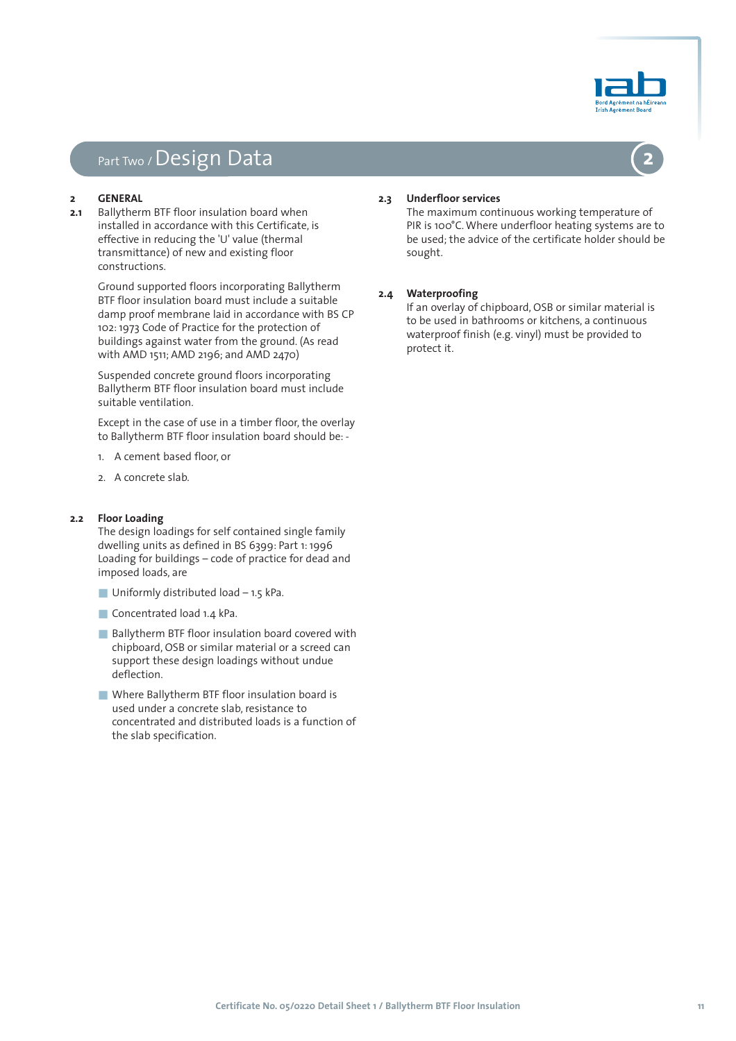

# Part Two / Design Data

#### **2 GENERAL**

**2.1** Ballytherm BTF floor insulation board when installed in accordance with this Certificate, is effective in reducing the 'U' value (thermal transmittance) of new and existing floor constructions.

> Ground supported floors incorporating Ballytherm BTF floor insulation board must include a suitable damp proof membrane laid in accordance with BS CP 102: 1973 Code of Practice for the protection of buildings against water from the ground. (As read with AMD 1511; AMD 2196; and AMD 2470)

Suspended concrete ground floors incorporating Ballytherm BTF floor insulation board must include suitable ventilation.

Except in the case of use in a timber floor, the overlay to Ballytherm BTF floor insulation board should be: -

- 1. A cement based floor, or
- 2. A concrete slab.

#### **2.2 Floor Loading**

The design loadings for self contained single family dwelling units as defined in BS 6399: Part 1: 1996 Loading for buildings – code of practice for dead and imposed loads, are

- **Uniformly distributed load 1.5 kPa.**
- Concentrated load 1.4 kPa.
- Ballytherm BTF floor insulation board covered with chipboard, OSB or similar material or a screed can support these design loadings without undue deflection.
- Where Ballytherm BTF floor insulation board is used under a concrete slab, resistance to concentrated and distributed loads is a function of the slab specification.

### **2.3 Underfloor services**

The maximum continuous working temperature of PIR is 100°C. Where underfloor heating systems are to be used; the advice of the certificate holder should be sought.

#### **2.4 Waterproofing**

If an overlay of chipboard, OSB or similar material is to be used in bathrooms or kitchens, a continuous waterproof finish (e.g. vinyl) must be provided to protect it.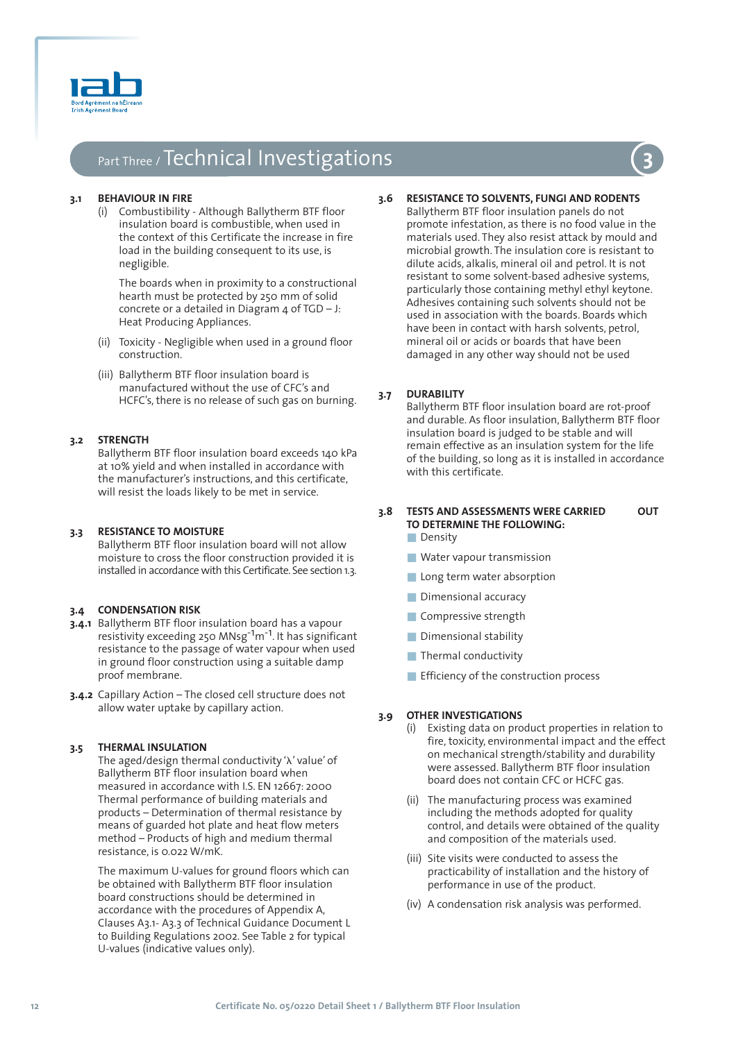

# Part Three / Technical Investigations **3**

#### **3.1 BEHAVIOUR IN FIRE**

(i) Combustibility - Although Ballytherm BTF floor insulation board is combustible, when used in the context of this Certificate the increase in fire load in the building consequent to its use, is negligible.

The boards when in proximity to a constructional hearth must be protected by 250 mm of solid concrete or a detailed in Diagram  $4$  of TGD – J: Heat Producing Appliances.

- (ii) Toxicity Negligible when used in a ground floor construction.
- (iii) Ballytherm BTF floor insulation board is manufactured without the use of CFC's and HCFC's, there is no release of such gas on burning.

#### **3.2 STRENGTH**

Ballytherm BTF floor insulation board exceeds 140 kPa at 10% yield and when installed in accordance with the manufacturer's instructions, and this certificate, will resist the loads likely to be met in service.

#### **3.3 RESISTANCE TO MOISTURE**

Ballytherm BTF floor insulation board will not allow moisture to cross the floor construction provided it is installed in accordance with this Certificate. See section 1.3.

#### **3.4 CONDENSATION RISK**

- **3.4.1** Ballytherm BTF floor insulation board has a vapour resistivity exceeding 250 MNsg-1m-1. It has significant resistance to the passage of water vapour when used in ground floor construction using a suitable damp proof membrane.
- **3.4.2** Capillary Action The closed cell structure does not allow water uptake by capillary action.

### **3.5 THERMAL INSULATION**

The aged/design thermal conductivity ' $\lambda$ ' value' of Ballytherm BTF floor insulation board when measured in accordance with I.S. EN 12667: 2000 Thermal performance of building materials and products – Determination of thermal resistance by means of guarded hot plate and heat flow meters method – Products of high and medium thermal resistance, is 0.022 W/mK.

The maximum U-values for ground floors which can be obtained with Ballytherm BTF floor insulation board constructions should be determined in accordance with the procedures of Appendix A, Clauses A3.1- A3.3 of Technical Guidance Document L to Building Regulations 2002. See Table 2 for typical U-values (indicative values only).

**3.6 RESISTANCE TO SOLVENTS, FUNGI AND RODENTS** Ballytherm BTF floor insulation panels do not promote infestation, as there is no food value in the materials used. They also resist attack by mould and microbial growth. The insulation core is resistant to dilute acids, alkalis, mineral oil and petrol. It is not resistant to some solvent-based adhesive systems, particularly those containing methyl ethyl keytone. Adhesives containing such solvents should not be used in association with the boards. Boards which have been in contact with harsh solvents, petrol, mineral oil or acids or boards that have been damaged in any other way should not be used

#### **3.7 DURABILITY**

Ballytherm BTF floor insulation board are rot-proof and durable. As floor insulation, Ballytherm BTF floor insulation board is judged to be stable and will remain effective as an insulation system for the life of the building, so long as it is installed in accordance with this certificate.

# **3.8 TESTS AND ASSESSMENTS WERE CARRIED OUT TO DETERMINE THE FOLLOWING:**

- Density
- Water vapour transmission
- Long term water absorption
- Dimensional accuracy
- Compressive strength
- Dimensional stability
- Thermal conductivity
- Efficiency of the construction process

### **3.9 OTHER INVESTIGATIONS**

- (i) Existing data on product properties in relation to fire, toxicity, environmental impact and the effect on mechanical strength/stability and durability were assessed. Ballytherm BTF floor insulation board does not contain CFC or HCFC gas.
- (ii) The manufacturing process was examined including the methods adopted for quality control, and details were obtained of the quality and composition of the materials used.
- (iii) Site visits were conducted to assess the practicability of installation and the history of performance in use of the product.
- (iv) A condensation risk analysis was performed.